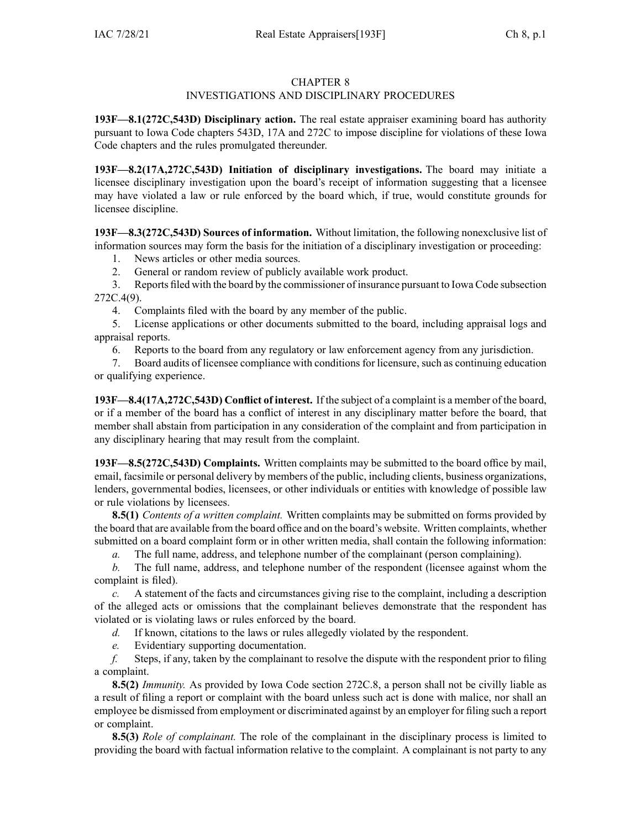## CHAPTER 8

# INVESTIGATIONS AND DISCIPLINARY PROCEDURES

**193F—8.1(272C,543D) Disciplinary action.** The real estate appraiser examining board has authority pursuan<sup>t</sup> to Iowa Code chapters [543D](https://www.legis.iowa.gov/docs/ico/chapter/543D.pdf), [17A](https://www.legis.iowa.gov/docs/ico/chapter/17A.pdf) and [272C](https://www.legis.iowa.gov/docs/ico/chapter/272C.pdf) to impose discipline for violations of these Iowa Code chapters and the rules promulgated thereunder.

**193F—8.2(17A,272C,543D) Initiation of disciplinary investigations.** The board may initiate <sup>a</sup> licensee disciplinary investigation upon the board's receipt of information suggesting that <sup>a</sup> licensee may have violated <sup>a</sup> law or rule enforced by the board which, if true, would constitute grounds for licensee discipline.

**193F—8.3(272C,543D) Sources of information.** Without limitation, the following nonexclusive list of information sources may form the basis for the initiation of <sup>a</sup> disciplinary investigation or proceeding:

- 1. News articles or other media sources.
- 2. General or random review of publicly available work product.

3. Reports filed with the board by the commissioner of insurance pursuan<sup>t</sup> to Iowa Code subsection [272C.4\(9\)](https://www.legis.iowa.gov/docs/ico/section/272C.4.pdf).

4. Complaints filed with the board by any member of the public.

5. License applications or other documents submitted to the board, including appraisal logs and appraisal reports.

6. Reports to the board from any regulatory or law enforcement agency from any jurisdiction.

7. Board audits of licensee compliance with conditionsfor licensure, such as continuing education or qualifying experience.

**193F—8.4(17A,272C,543D) Conflict of interest.** If the subject of <sup>a</sup> complaint is <sup>a</sup> member of the board, or if <sup>a</sup> member of the board has <sup>a</sup> conflict of interest in any disciplinary matter before the board, that member shall abstain from participation in any consideration of the complaint and from participation in any disciplinary hearing that may result from the complaint.

**193F—8.5(272C,543D) Complaints.** Written complaints may be submitted to the board office by mail, email, facsimile or personal delivery by members of the public, including clients, business organizations, lenders, governmental bodies, licensees, or other individuals or entities with knowledge of possible law or rule violations by licensees.

**8.5(1)** *Contents of <sup>a</sup> written complaint.* Written complaints may be submitted on forms provided by the board that are available from the board office and on the board's website. Written complaints, whether submitted on <sup>a</sup> board complaint form or in other written media, shall contain the following information:

*a.* The full name, address, and telephone number of the complainant (person complaining).

*b.* The full name, address, and telephone number of the respondent (licensee against whom the complaint is filed).

*c.* A statement of the facts and circumstances giving rise to the complaint, including <sup>a</sup> description of the alleged acts or omissions that the complainant believes demonstrate that the respondent has violated or is violating laws or rules enforced by the board.

*d.* If known, citations to the laws or rules allegedly violated by the respondent.

*e.* Evidentiary supporting documentation.

*f.* Steps, if any, taken by the complainant to resolve the dispute with the respondent prior to filing <sup>a</sup> complaint.

**8.5(2)** *Immunity.* As provided by Iowa Code section [272C.8](https://www.legis.iowa.gov/docs/ico/section/272C.8.pdf), <sup>a</sup> person shall not be civilly liable as <sup>a</sup> result of filing <sup>a</sup> repor<sup>t</sup> or complaint with the board unless such act is done with malice, nor shall an employee be dismissed from employment or discriminated against by an employer for filing such <sup>a</sup> repor<sup>t</sup> or complaint.

**8.5(3)** *Role of complainant.* The role of the complainant in the disciplinary process is limited to providing the board with factual information relative to the complaint. A complainant is not party to any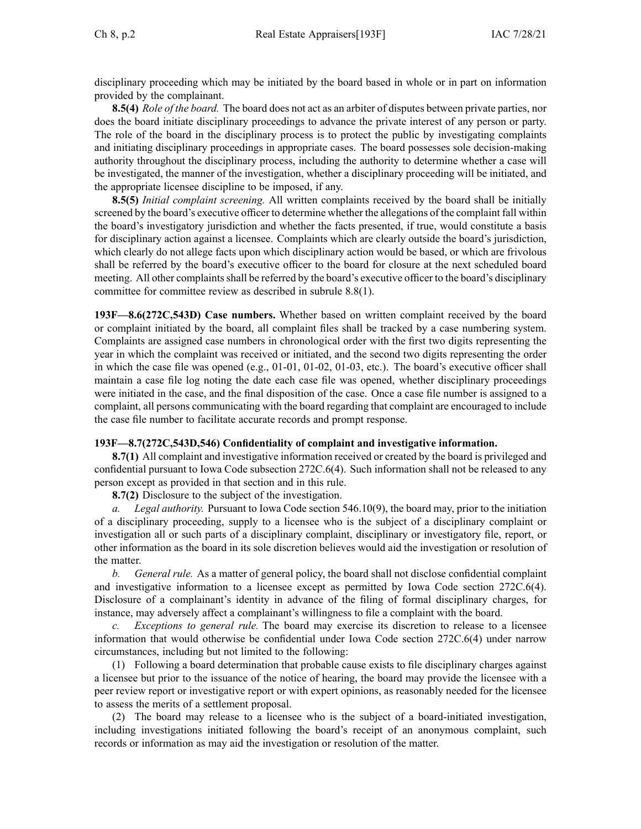disciplinary proceeding which may be initiated by the board based in whole or in par<sup>t</sup> on information provided by the complainant.

**8.5(4)** *Role of the board.* The board does not act as an arbiter of disputes between private parties, nor does the board initiate disciplinary proceedings to advance the private interest of any person or party. The role of the board in the disciplinary process is to protect the public by investigating complaints and initiating disciplinary proceedings in appropriate cases. The board possesses sole decision-making authority throughout the disciplinary process, including the authority to determine whether <sup>a</sup> case will be investigated, the manner of the investigation, whether <sup>a</sup> disciplinary proceeding will be initiated, and the appropriate licensee discipline to be imposed, if any.

**8.5(5)** *Initial complaint screening.* All written complaints received by the board shall be initially screened by the board's executive officer to determine whether the allegations of the complaint fall within the board's investigatory jurisdiction and whether the facts presented, if true, would constitute <sup>a</sup> basis for disciplinary action against <sup>a</sup> licensee. Complaints which are clearly outside the board's jurisdiction, which clearly do not allege facts upon which disciplinary action would be based, or which are frivolous shall be referred by the board's executive officer to the board for closure at the next scheduled board meeting. All other complaints shall be referred by the board's executive officer to the board's disciplinary committee for committee review as described in subrule [8.8\(1\)](https://www.legis.iowa.gov/docs/iac/rule/193F.8.8.pdf).

**193F—8.6(272C,543D) Case numbers.** Whether based on written complaint received by the board or complaint initiated by the board, all complaint files shall be tracked by <sup>a</sup> case numbering system. Complaints are assigned case numbers in chronological order with the first two digits representing the year in which the complaint was received or initiated, and the second two digits representing the order in which the case file was opened (e.g., 01-01, 01-02, 01-03, etc.). The board's executive officer shall maintain <sup>a</sup> case file log noting the date each case file was opened, whether disciplinary proceedings were initiated in the case, and the final disposition of the case. Once <sup>a</sup> case file number is assigned to <sup>a</sup> complaint, all persons communicating with the board regarding that complaint are encouraged to include the case file number to facilitate accurate records and promp<sup>t</sup> response.

### **193F—8.7(272C,543D,546) Confidentiality of complaint and investigative information.**

**8.7(1)** All complaint and investigative information received or created by the board is privileged and confidential pursuan<sup>t</sup> to Iowa Code subsection [272C.6\(4\)](https://www.legis.iowa.gov/docs/ico/section/272C.6.pdf). Such information shall not be released to any person excep<sup>t</sup> as provided in that section and in this rule.

**8.7(2)** Disclosure to the subject of the investigation.

*a. Legal authority.* Pursuant to Iowa Code section [546.10\(9\)](https://www.legis.iowa.gov/docs/ico/section/546.10.pdf), the board may, prior to the initiation of <sup>a</sup> disciplinary proceeding, supply to <sup>a</sup> licensee who is the subject of <sup>a</sup> disciplinary complaint or investigation all or such parts of <sup>a</sup> disciplinary complaint, disciplinary or investigatory file, report, or other information as the board in its sole discretion believes would aid the investigation or resolution of the matter.

*b. General rule.* As <sup>a</sup> matter of general policy, the board shall not disclose confidential complaint and investigative information to <sup>a</sup> licensee excep<sup>t</sup> as permitted by Iowa Code section [272C.6\(4\)](https://www.legis.iowa.gov/docs/ico/section/272C.6.pdf). Disclosure of <sup>a</sup> complainant's identity in advance of the filing of formal disciplinary charges, for instance, may adversely affect <sup>a</sup> complainant's willingness to file <sup>a</sup> complaint with the board.

*c. Exceptions to general rule.* The board may exercise its discretion to release to <sup>a</sup> licensee information that would otherwise be confidential under Iowa Code section [272C.6\(4\)](https://www.legis.iowa.gov/docs/ico/section/272C.6.pdf) under narrow circumstances, including but not limited to the following:

(1) Following <sup>a</sup> board determination that probable cause exists to file disciplinary charges against <sup>a</sup> licensee but prior to the issuance of the notice of hearing, the board may provide the licensee with <sup>a</sup> peer review repor<sup>t</sup> or investigative repor<sup>t</sup> or with exper<sup>t</sup> opinions, as reasonably needed for the licensee to assess the merits of <sup>a</sup> settlement proposal.

(2) The board may release to <sup>a</sup> licensee who is the subject of <sup>a</sup> board-initiated investigation, including investigations initiated following the board's receipt of an anonymous complaint, such records or information as may aid the investigation or resolution of the matter.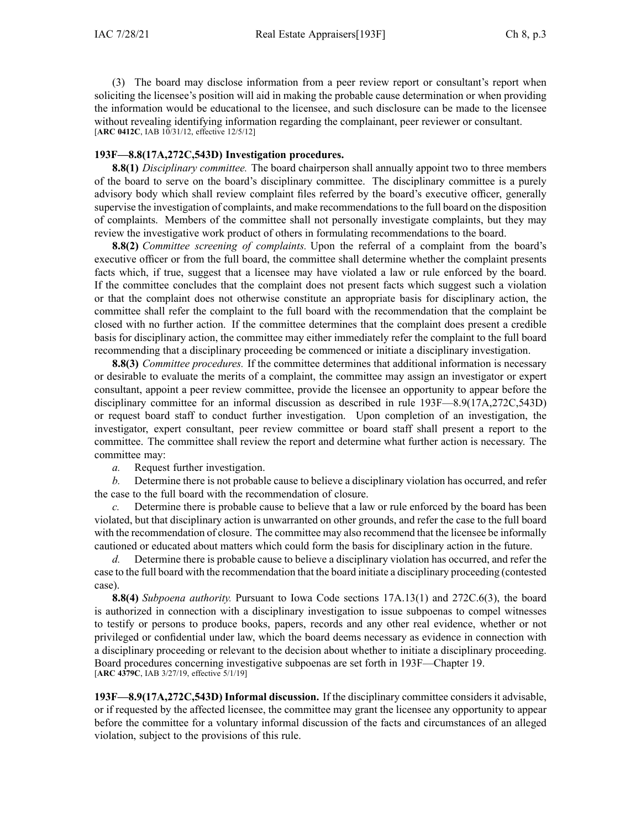(3) The board may disclose information from <sup>a</sup> peer review repor<sup>t</sup> or consultant's repor<sup>t</sup> when soliciting the licensee's position will aid in making the probable cause determination or when providing the information would be educational to the licensee, and such disclosure can be made to the licensee without revealing identifying information regarding the complainant, peer reviewer or consultant. [**ARC [0412C](https://www.legis.iowa.gov/docs/aco/arc/0412C.pdf)**, IAB 10/31/12, effective 12/5/12]

### **193F—8.8(17A,272C,543D) Investigation procedures.**

**8.8(1)** *Disciplinary committee.* The board chairperson shall annually appoint two to three members of the board to serve on the board's disciplinary committee. The disciplinary committee is <sup>a</sup> purely advisory body which shall review complaint files referred by the board's executive officer, generally supervise the investigation of complaints, and make recommendations to the full board on the disposition of complaints. Members of the committee shall not personally investigate complaints, but they may review the investigative work product of others in formulating recommendations to the board.

**8.8(2)** *Committee screening of complaints.* Upon the referral of <sup>a</sup> complaint from the board's executive officer or from the full board, the committee shall determine whether the complaint presents facts which, if true, sugges<sup>t</sup> that <sup>a</sup> licensee may have violated <sup>a</sup> law or rule enforced by the board. If the committee concludes that the complaint does not presen<sup>t</sup> facts which sugges<sup>t</sup> such <sup>a</sup> violation or that the complaint does not otherwise constitute an appropriate basis for disciplinary action, the committee shall refer the complaint to the full board with the recommendation that the complaint be closed with no further action. If the committee determines that the complaint does presen<sup>t</sup> <sup>a</sup> credible basis for disciplinary action, the committee may either immediately refer the complaint to the full board recommending that <sup>a</sup> disciplinary proceeding be commenced or initiate <sup>a</sup> disciplinary investigation.

**8.8(3)** *Committee procedures.* If the committee determines that additional information is necessary or desirable to evaluate the merits of <sup>a</sup> complaint, the committee may assign an investigator or exper<sup>t</sup> consultant, appoint <sup>a</sup> peer review committee, provide the licensee an opportunity to appear before the disciplinary committee for an informal discussion as described in rule [193F—8.9](https://www.legis.iowa.gov/docs/iac/rule/193F.8.9.pdf)(17A,272C,543D) or reques<sup>t</sup> board staff to conduct further investigation. Upon completion of an investigation, the investigator, exper<sup>t</sup> consultant, peer review committee or board staff shall presen<sup>t</sup> <sup>a</sup> repor<sup>t</sup> to the committee. The committee shall review the repor<sup>t</sup> and determine what further action is necessary. The committee may:

*a.* Request further investigation.

*b.* Determine there is not probable cause to believe <sup>a</sup> disciplinary violation has occurred, and refer the case to the full board with the recommendation of closure.

*c.* Determine there is probable cause to believe that <sup>a</sup> law or rule enforced by the board has been violated, but that disciplinary action is unwarranted on other grounds, and refer the case to the full board with the recommendation of closure. The committee may also recommend that the licensee be informally cautioned or educated about matters which could form the basis for disciplinary action in the future.

*d.* Determine there is probable cause to believe <sup>a</sup> disciplinary violation has occurred, and refer the case to the full board with the recommendation that the board initiate <sup>a</sup> disciplinary proceeding (contested case).

**8.8(4)** *Subpoena authority.* Pursuant to Iowa Code sections [17A.13\(1\)](https://www.legis.iowa.gov/docs/ico/section/17A.13.pdf) and [272C.6\(3\)](https://www.legis.iowa.gov/docs/ico/section/272C.6.pdf), the board is authorized in connection with <sup>a</sup> disciplinary investigation to issue subpoenas to compel witnesses to testify or persons to produce books, papers, records and any other real evidence, whether or not privileged or confidential under law, which the board deems necessary as evidence in connection with <sup>a</sup> disciplinary proceeding or relevant to the decision about whether to initiate <sup>a</sup> disciplinary proceeding. Board procedures concerning investigative subpoenas are set forth in [193F—Chapter](https://www.legis.iowa.gov/docs/iac/chapter/193F.19.pdf) 19. [**ARC [4379C](https://www.legis.iowa.gov/docs/aco/arc/4379C.pdf)**, IAB 3/27/19, effective 5/1/19]

**193F—8.9(17A,272C,543D) Informal discussion.** If the disciplinary committee considers it advisable, or if requested by the affected licensee, the committee may gran<sup>t</sup> the licensee any opportunity to appear before the committee for <sup>a</sup> voluntary informal discussion of the facts and circumstances of an alleged violation, subject to the provisions of this rule.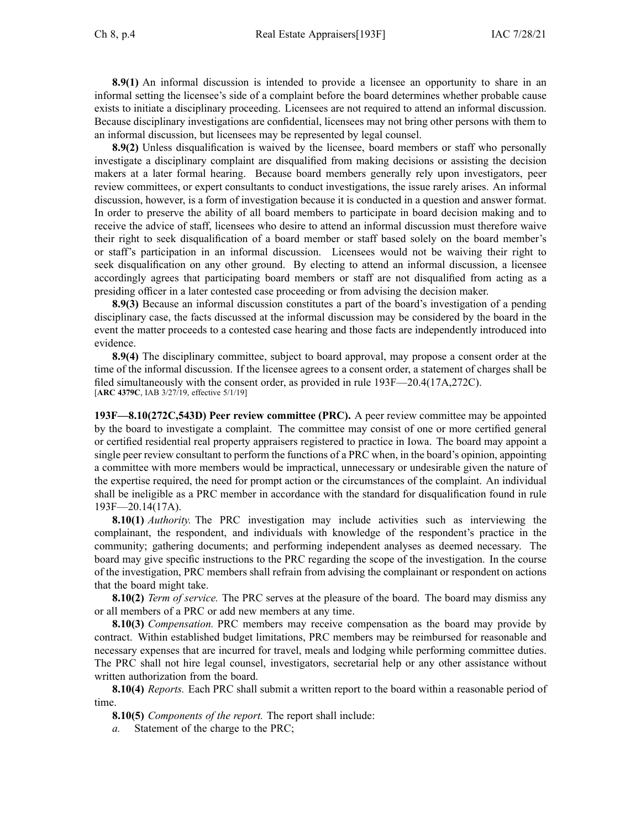**8.9(1)** An informal discussion is intended to provide <sup>a</sup> licensee an opportunity to share in an informal setting the licensee's side of <sup>a</sup> complaint before the board determines whether probable cause exists to initiate <sup>a</sup> disciplinary proceeding. Licensees are not required to attend an informal discussion. Because disciplinary investigations are confidential, licensees may not bring other persons with them to an informal discussion, but licensees may be represented by legal counsel.

**8.9(2)** Unless disqualification is waived by the licensee, board members or staff who personally investigate <sup>a</sup> disciplinary complaint are disqualified from making decisions or assisting the decision makers at <sup>a</sup> later formal hearing. Because board members generally rely upon investigators, peer review committees, or exper<sup>t</sup> consultants to conduct investigations, the issue rarely arises. An informal discussion, however, is <sup>a</sup> form of investigation because it is conducted in <sup>a</sup> question and answer format. In order to preserve the ability of all board members to participate in board decision making and to receive the advice of staff, licensees who desire to attend an informal discussion must therefore waive their right to seek disqualification of <sup>a</sup> board member or staff based solely on the board member's or staff's participation in an informal discussion. Licensees would not be waiving their right to seek disqualification on any other ground. By electing to attend an informal discussion, <sup>a</sup> licensee accordingly agrees that participating board members or staff are not disqualified from acting as <sup>a</sup> presiding officer in <sup>a</sup> later contested case proceeding or from advising the decision maker.

**8.9(3)** Because an informal discussion constitutes <sup>a</sup> par<sup>t</sup> of the board's investigation of <sup>a</sup> pending disciplinary case, the facts discussed at the informal discussion may be considered by the board in the event the matter proceeds to <sup>a</sup> contested case hearing and those facts are independently introduced into evidence.

**8.9(4)** The disciplinary committee, subject to board approval, may propose <sup>a</sup> consent order at the time of the informal discussion. If the licensee agrees to <sup>a</sup> consent order, <sup>a</sup> statement of charges shall be filed simultaneously with the consent order, as provided in rule [193F—20.4\(](https://www.legis.iowa.gov/docs/iac/rule/193F.20.4.pdf)17A,272C). [**ARC [4379C](https://www.legis.iowa.gov/docs/aco/arc/4379C.pdf)**, IAB 3/27/19, effective 5/1/19]

**193F—8.10(272C,543D) Peer review committee (PRC).** A peer review committee may be appointed by the board to investigate <sup>a</sup> complaint. The committee may consist of one or more certified general or certified residential real property appraisers registered to practice in Iowa. The board may appoint <sup>a</sup> single peer review consultant to perform the functions of <sup>a</sup> PRC when, in the board's opinion, appointing <sup>a</sup> committee with more members would be impractical, unnecessary or undesirable given the nature of the expertise required, the need for promp<sup>t</sup> action or the circumstances of the complaint. An individual shall be ineligible as <sup>a</sup> PRC member in accordance with the standard for disqualification found in rule [193F—20.14](https://www.legis.iowa.gov/docs/iac/rule/193F.20.14.pdf)(17A).

**8.10(1)** *Authority.* The PRC investigation may include activities such as interviewing the complainant, the respondent, and individuals with knowledge of the respondent's practice in the community; gathering documents; and performing independent analyses as deemed necessary. The board may give specific instructions to the PRC regarding the scope of the investigation. In the course of the investigation, PRC members shall refrain from advising the complainant or respondent on actions that the board might take.

**8.10(2)** *Term of service.* The PRC serves at the pleasure of the board. The board may dismiss any or all members of <sup>a</sup> PRC or add new members at any time.

**8.10(3)** *Compensation.* PRC members may receive compensation as the board may provide by contract. Within established budget limitations, PRC members may be reimbursed for reasonable and necessary expenses that are incurred for travel, meals and lodging while performing committee duties. The PRC shall not hire legal counsel, investigators, secretarial help or any other assistance without written authorization from the board.

**8.10(4)** *Reports.* Each PRC shall submit <sup>a</sup> written repor<sup>t</sup> to the board within <sup>a</sup> reasonable period of time.

**8.10(5)** *Components of the report.* The repor<sup>t</sup> shall include:

*a.* Statement of the charge to the PRC;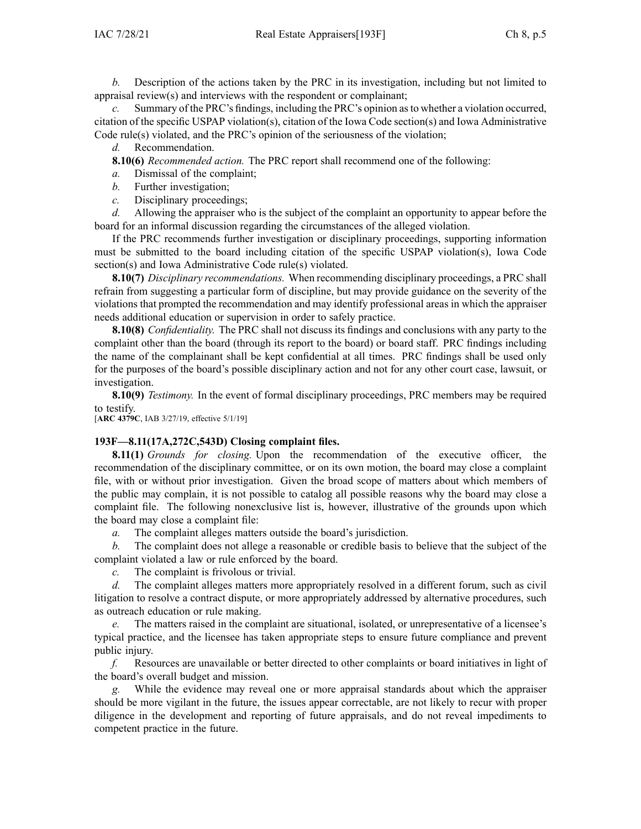*b.* Description of the actions taken by the PRC in its investigation, including but not limited to appraisal review(s) and interviews with the respondent or complainant;

Summary of the PRC's findings, including the PRC's opinion as to whether a violation occurred, citation of the specific USPAP violation(s), citation of the Iowa Code section(s) and Iowa Administrative Code rule(s) violated, and the PRC's opinion of the seriousness of the violation;

*d.* Recommendation.

**8.10(6)** *Recommended action.* The PRC repor<sup>t</sup> shall recommend one of the following:

*a.* Dismissal of the complaint;

- *b.* Further investigation;
- *c.* Disciplinary proceedings;

*d.* Allowing the appraiser who is the subject of the complaint an opportunity to appear before the board for an informal discussion regarding the circumstances of the alleged violation.

If the PRC recommends further investigation or disciplinary proceedings, supporting information must be submitted to the board including citation of the specific USPAP violation(s), Iowa Code section(s) and Iowa Administrative Code rule(s) violated.

**8.10(7)** *Disciplinary recommendations.* When recommending disciplinary proceedings, <sup>a</sup> PRC shall refrain from suggesting <sup>a</sup> particular form of discipline, but may provide guidance on the severity of the violations that prompted the recommendation and may identify professional areas in which the appraiser needs additional education or supervision in order to safely practice.

**8.10(8)** *Confidentiality.* The PRC shall not discuss its findings and conclusions with any party to the complaint other than the board (through its repor<sup>t</sup> to the board) or board staff. PRC findings including the name of the complainant shall be kept confidential at all times. PRC findings shall be used only for the purposes of the board's possible disciplinary action and not for any other court case, lawsuit, or investigation.

**8.10(9)** *Testimony.* In the event of formal disciplinary proceedings, PRC members may be required to testify.

[**ARC [4379C](https://www.legis.iowa.gov/docs/aco/arc/4379C.pdf)**, IAB 3/27/19, effective 5/1/19]

### **193F—8.11(17A,272C,543D) Closing complaint files.**

**8.11(1)** *Grounds for closing.* Upon the recommendation of the executive officer, the recommendation of the disciplinary committee, or on its own motion, the board may close <sup>a</sup> complaint file, with or without prior investigation. Given the broad scope of matters about which members of the public may complain, it is not possible to catalog all possible reasons why the board may close <sup>a</sup> complaint file. The following nonexclusive list is, however, illustrative of the grounds upon which the board may close <sup>a</sup> complaint file:

*a.* The complaint alleges matters outside the board's jurisdiction.

*b.* The complaint does not allege <sup>a</sup> reasonable or credible basis to believe that the subject of the complaint violated <sup>a</sup> law or rule enforced by the board.

*c.* The complaint is frivolous or trivial.

*d.* The complaint alleges matters more appropriately resolved in <sup>a</sup> different forum, such as civil litigation to resolve <sup>a</sup> contract dispute, or more appropriately addressed by alternative procedures, such as outreach education or rule making.

*e.* The matters raised in the complaint are situational, isolated, or unrepresentative of <sup>a</sup> licensee's typical practice, and the licensee has taken appropriate steps to ensure future compliance and preven<sup>t</sup> public injury.

*f.* Resources are unavailable or better directed to other complaints or board initiatives in light of the board's overall budget and mission.

*g.* While the evidence may reveal one or more appraisal standards about which the appraiser should be more vigilant in the future, the issues appear correctable, are not likely to recur with proper diligence in the development and reporting of future appraisals, and do not reveal impediments to competent practice in the future.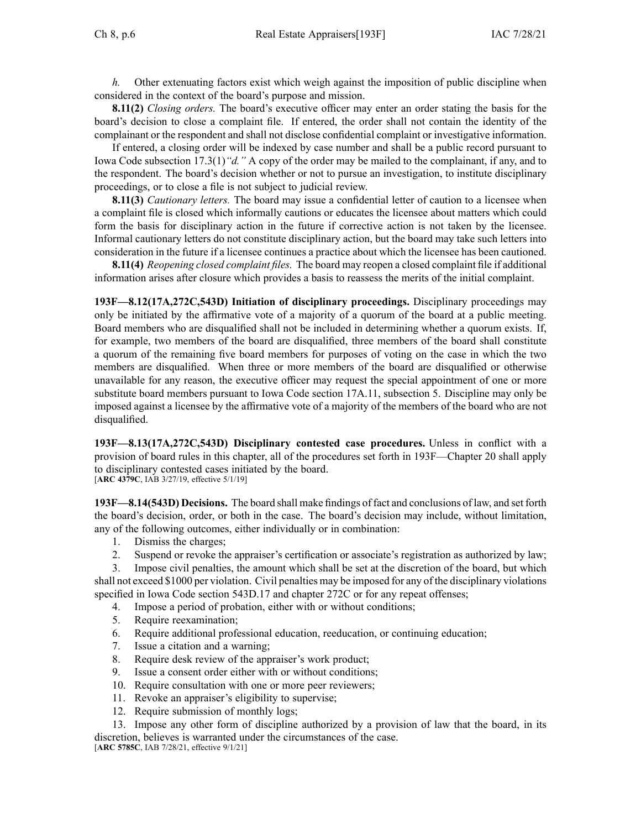*h.* Other extenuating factors exist which weigh against the imposition of public discipline when considered in the context of the board's purpose and mission.

**8.11(2)** *Closing orders.* The board's executive officer may enter an order stating the basis for the board's decision to close <sup>a</sup> complaint file. If entered, the order shall not contain the identity of the complainant or the respondent and shall not disclose confidential complaint or investigative information.

If entered, <sup>a</sup> closing order will be indexed by case number and shall be <sup>a</sup> public record pursuan<sup>t</sup> to Iowa Code subsection [17.3\(1\)](https://www.legis.iowa.gov/docs/ico/section/17.3.pdf)*"d."* A copy of the order may be mailed to the complainant, if any, and to the respondent. The board's decision whether or not to pursue an investigation, to institute disciplinary proceedings, or to close <sup>a</sup> file is not subject to judicial review.

**8.11(3)** *Cautionary letters.* The board may issue <sup>a</sup> confidential letter of caution to <sup>a</sup> licensee when <sup>a</sup> complaint file is closed which informally cautions or educates the licensee about matters which could form the basis for disciplinary action in the future if corrective action is not taken by the licensee. Informal cautionary letters do not constitute disciplinary action, but the board may take such letters into consideration in the future if <sup>a</sup> licensee continues <sup>a</sup> practice about which the licensee has been cautioned.

**8.11(4)** *Reopening closed complaint files.* The board may reopen <sup>a</sup> closed complaint file if additional information arises after closure which provides <sup>a</sup> basis to reassess the merits of the initial complaint.

**193F—8.12(17A,272C,543D) Initiation of disciplinary proceedings.** Disciplinary proceedings may only be initiated by the affirmative vote of <sup>a</sup> majority of <sup>a</sup> quorum of the board at <sup>a</sup> public meeting. Board members who are disqualified shall not be included in determining whether <sup>a</sup> quorum exists. If, for example, two members of the board are disqualified, three members of the board shall constitute <sup>a</sup> quorum of the remaining five board members for purposes of voting on the case in which the two members are disqualified. When three or more members of the board are disqualified or otherwise unavailable for any reason, the executive officer may reques<sup>t</sup> the special appointment of one or more substitute board members pursuan<sup>t</sup> to Iowa Code section 17A.11, [subsection](https://www.legis.iowa.gov/docs/ico/section/17A.11.pdf) 5. Discipline may only be imposed against <sup>a</sup> licensee by the affirmative vote of <sup>a</sup> majority of the members of the board who are not disqualified.

**193F—8.13(17A,272C,543D) Disciplinary contested case procedures.** Unless in conflict with <sup>a</sup> provision of board rules in this chapter, all of the procedures set forth in [193F—Chapter](https://www.legis.iowa.gov/docs/iac/chapter/193F.20.pdf) 20 shall apply to disciplinary contested cases initiated by the board. [**ARC [4379C](https://www.legis.iowa.gov/docs/aco/arc/4379C.pdf)**, IAB 3/27/19, effective 5/1/19]

**193F—8.14(543D) Decisions.** The board shall make findings of fact and conclusions of law, and set forth the board's decision, order, or both in the case. The board's decision may include, without limitation, any of the following outcomes, either individually or in combination:

- 1. Dismiss the charges;
- 2. Suspend or revoke the appraiser's certification or associate's registration as authorized by law;

3. Impose civil penalties, the amount which shall be set at the discretion of the board, but which shall not exceed \$1000 per violation. Civil penalties may be imposed for any of the disciplinary violations specified in Iowa Code section [543D.17](https://www.legis.iowa.gov/docs/ico/section/543D.17.pdf) and chapter [272C](https://www.legis.iowa.gov/docs/ico/chapter/272C.pdf) or for any repea<sup>t</sup> offenses;

- 4. Impose <sup>a</sup> period of probation, either with or without conditions;
- 5. Require reexamination;
- 6. Require additional professional education, reeducation, or continuing education;
- 7. Issue <sup>a</sup> citation and <sup>a</sup> warning;
- 8. Require desk review of the appraiser's work product;
- 9. Issue <sup>a</sup> consent order either with or without conditions;
- 10. Require consultation with one or more peer reviewers;
- 11. Revoke an appraiser's eligibility to supervise;
- 12. Require submission of monthly logs;

13. Impose any other form of discipline authorized by <sup>a</sup> provision of law that the board, in its discretion, believes is warranted under the circumstances of the case. [**ARC [5785C](https://www.legis.iowa.gov/docs/aco/arc/5785C.pdf)**, IAB 7/28/21, effective 9/1/21]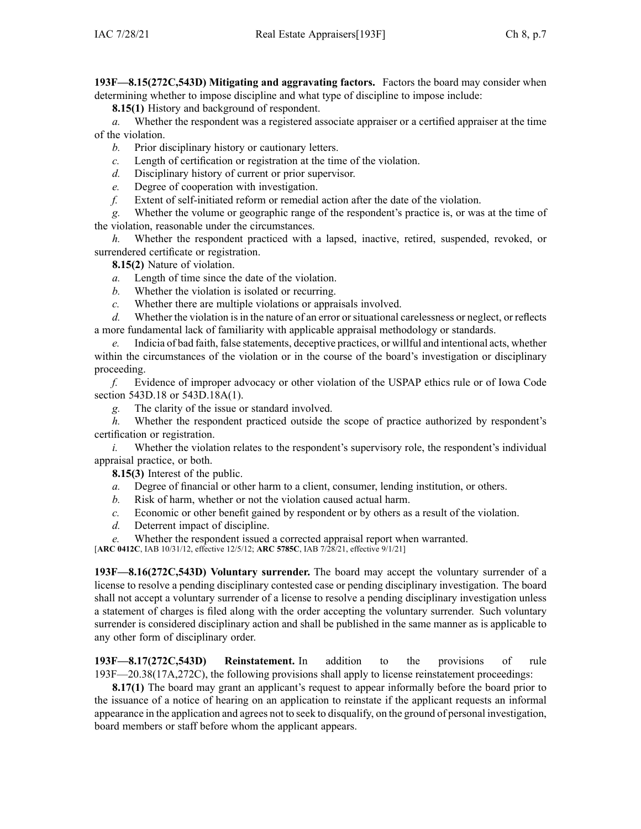**193F—8.15(272C,543D) Mitigating and aggravating factors.** Factors the board may consider when determining whether to impose discipline and what type of discipline to impose include:

**8.15(1)** History and background of respondent.

*a.* Whether the respondent was <sup>a</sup> registered associate appraiser or <sup>a</sup> certified appraiser at the time of the violation.

*b.* Prior disciplinary history or cautionary letters.

*c.* Length of certification or registration at the time of the violation.

*d.* Disciplinary history of current or prior supervisor.

*e.* Degree of cooperation with investigation.

*f.* Extent of self-initiated reform or remedial action after the date of the violation.

*g.* Whether the volume or geographic range of the respondent's practice is, or was at the time of the violation, reasonable under the circumstances.

*h.* Whether the respondent practiced with a lapsed, inactive, retired, suspended, revoked, or surrendered certificate or registration.

**8.15(2)** Nature of violation.

*a.* Length of time since the date of the violation.

*b.* Whether the violation is isolated or recurring.

*c.* Whether there are multiple violations or appraisals involved.

*d.* Whether the violation is in the nature of an error or situational carelessness or neglect, or reflects <sup>a</sup> more fundamental lack of familiarity with applicable appraisal methodology or standards.

*e.* Indicia of bad faith, false statements, deceptive practices, or willful and intentional acts, whether within the circumstances of the violation or in the course of the board's investigation or disciplinary proceeding.

*f.* Evidence of improper advocacy or other violation of the USPAP ethics rule or of Iowa Code section [543D.18](https://www.legis.iowa.gov/docs/ico/section/543D.18.pdf) or [543D.18A\(1\)](https://www.legis.iowa.gov/docs/ico/section/543D.18A.pdf).

*g.* The clarity of the issue or standard involved.

*h.* Whether the respondent practiced outside the scope of practice authorized by respondent's certification or registration.

*i.* Whether the violation relates to the respondent's supervisory role, the respondent's individual appraisal practice, or both.

**8.15(3)** Interest of the public.

*a.* Degree of financial or other harm to <sup>a</sup> client, consumer, lending institution, or others.

*b.* Risk of harm, whether or not the violation caused actual harm.

*c.* Economic or other benefit gained by respondent or by others as <sup>a</sup> result of the violation.

*d.* Deterrent impact of discipline.

*e.* Whether the respondent issued <sup>a</sup> corrected appraisal repor<sup>t</sup> when warranted.

[**ARC [0412C](https://www.legis.iowa.gov/docs/aco/arc/0412C.pdf)**, IAB 10/31/12, effective 12/5/12; **ARC [5785C](https://www.legis.iowa.gov/docs/aco/arc/5785C.pdf)**, IAB 7/28/21, effective 9/1/21]

**193F—8.16(272C,543D) Voluntary surrender.** The board may accep<sup>t</sup> the voluntary surrender of <sup>a</sup> license to resolve <sup>a</sup> pending disciplinary contested case or pending disciplinary investigation. The board shall not accep<sup>t</sup> <sup>a</sup> voluntary surrender of <sup>a</sup> license to resolve <sup>a</sup> pending disciplinary investigation unless <sup>a</sup> statement of charges is filed along with the order accepting the voluntary surrender. Such voluntary surrender is considered disciplinary action and shall be published in the same manner as is applicable to any other form of disciplinary order.

**193F—8.17(272C,543D) Reinstatement.** In addition to the provisions of rule [193F—20.38](https://www.legis.iowa.gov/docs/iac/rule/193F.20.38.pdf)(17A,272C), the following provisions shall apply to license reinstatement proceedings:

**8.17(1)** The board may gran<sup>t</sup> an applicant's reques<sup>t</sup> to appear informally before the board prior to the issuance of <sup>a</sup> notice of hearing on an application to reinstate if the applicant requests an informal appearance in the application and agrees not to seek to disqualify, on the ground of personal investigation, board members or staff before whom the applicant appears.